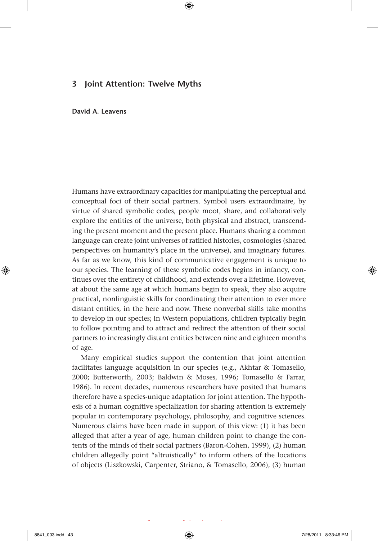**David A. Leavens**

Humans have extraordinary capacities for manipulating the perceptual and conceptual foci of their social partners. Symbol users extraordinaire, by virtue of shared symbolic codes, people moot, share, and collaboratively explore the entities of the universe, both physical and abstract, transcending the present moment and the present place. Humans sharing a common language can create joint universes of ratified histories, cosmologies (shared perspectives on humanity's place in the universe), and imaginary futures. As far as we know, this kind of communicative engagement is unique to our species. The learning of these symbolic codes begins in infancy, continues over the entirety of childhood, and extends over a lifetime. However, at about the same age at which humans begin to speak, they also acquire practical, nonlinguistic skills for coordinating their attention to ever more distant entities, in the here and now. These nonverbal skills take months to develop in our species; in Western populations, children typically begin to follow pointing and to attract and redirect the attention of their social partners to increasingly distant entities between nine and eighteen months of age.

⊕

Many empirical studies support the contention that joint attention facilitates language acquisition in our species (e.g., Akhtar & Tomasello, 2000; Butterworth, 2003; Baldwin & Moses, 1996; Tomasello & Farrar, 1986). In recent decades, numerous researchers have posited that humans therefore have a species-unique adaptation for joint attention. The hypothesis of a human cognitive specialization for sharing attention is extremely popular in contemporary psychology, philosophy, and cognitive sciences. Numerous claims have been made in support of this view: (1) it has been alleged that after a year of age, human children point to change the contents of the minds of their social partners (Baron-Cohen, 1999), (2) human children allegedly point "altruistically" to inform others of the locations of objects (Liszkowski, Carpenter, Striano, & Tomasello, 2006), (3) human

Seemann—Joint Attention

↔

8841\_003.indd 43 7/28/2011 8:33:46 PM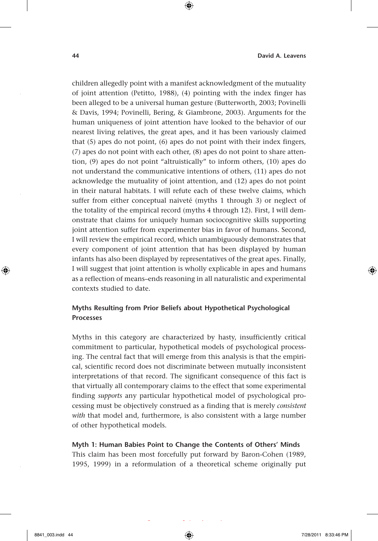children allegedly point with a manifest acknowledgment of the mutuality of joint attention (Petitto, 1988), (4) pointing with the index finger has been alleged to be a universal human gesture (Butterworth, 2003; Povinelli & Davis, 1994; Povinelli, Bering, & Giambrone, 2003). Arguments for the human uniqueness of joint attention have looked to the behavior of our nearest living relatives, the great apes, and it has been variously claimed that (5) apes do not point, (6) apes do not point with their index fingers, (7) apes do not point with each other, (8) apes do not point to share attention, (9) apes do not point "altruistically" to inform others, (10) apes do not understand the communicative intentions of others, (11) apes do not acknowledge the mutuality of joint attention, and (12) apes do not point in their natural habitats. I will refute each of these twelve claims, which suffer from either conceptual naiveté (myths 1 through 3) or neglect of the totality of the empirical record (myths 4 through 12). First, I will demonstrate that claims for uniquely human sociocognitive skills supporting joint attention suffer from experimenter bias in favor of humans. Second, I will review the empirical record, which unambiguously demonstrates that every component of joint attention that has been displayed by human infants has also been displayed by representatives of the great apes. Finally, I will suggest that joint attention is wholly explicable in apes and humans as a reflection of means–ends reasoning in all naturalistic and experimental contexts studied to date.

 $\textcircled{\scriptsize{+}}$ 

# **Myths Resulting from Prior Beliefs about Hypothetical Psychological Processes**

Myths in this category are characterized by hasty, insufficiently critical commitment to particular, hypothetical models of psychological processing. The central fact that will emerge from this analysis is that the empirical, scientific record does not discriminate between mutually inconsistent interpretations of that record. The significant consequence of this fact is that virtually all contemporary claims to the effect that some experimental finding *supports* any particular hypothetical model of psychological processing must be objectively construed as a finding that is merely *consistent with* that model and, furthermore, is also consistent with a large number of other hypothetical models.

**Myth 1: Human Babies Point to Change the Contents of Others' Minds** This claim has been most forcefully put forward by Baron-Cohen (1989, 1995, 1999) in a reformulation of a theoretical scheme originally put

Seemann—Joint Attention

↔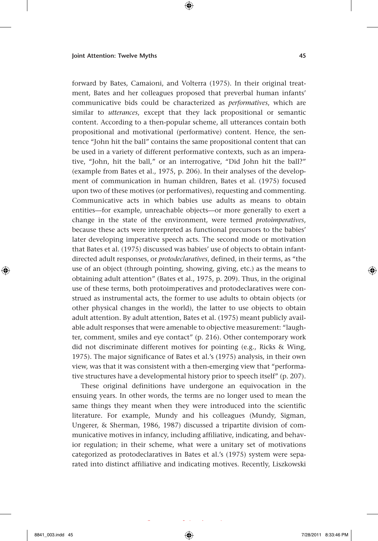forward by Bates, Camaioni, and Volterra (1975). In their original treatment, Bates and her colleagues proposed that preverbal human infants' communicative bids could be characterized as *performatives*, which are similar to *utterances*, except that they lack propositional or semantic content. According to a then-popular scheme, all utterances contain both propositional and motivational (performative) content. Hence, the sentence "John hit the ball" contains the same propositional content that can be used in a variety of different performative contexts, such as an imperative, "John, hit the ball," or an interrogative, "Did John hit the ball?" (example from Bates et al., 1975, p. 206). In their analyses of the development of communication in human children, Bates et al. (1975) focused upon two of these motives (or performatives), requesting and commenting. Communicative acts in which babies use adults as means to obtain entities—for example, unreachable objects—or more generally to exert a change in the state of the environment, were termed *protoimperatives*, because these acts were interpreted as functional precursors to the babies' later developing imperative speech acts. The second mode or motivation that Bates et al. (1975) discussed was babies' use of objects to obtain infantdirected adult responses, or *protodeclaratives*, defined, in their terms, as "the use of an object (through pointing, showing, giving, etc.) as the means to obtaining adult attention" (Bates et al., 1975, p. 209). Thus, in the original use of these terms, both protoimperatives and protodeclaratives were construed as instrumental acts, the former to use adults to obtain objects (or other physical changes in the world), the latter to use objects to obtain adult attention. By adult attention, Bates et al. (1975) meant publicly available adult responses that were amenable to objective measurement: "laughter, comment, smiles and eye contact" (p. 216). Other contemporary work did not discriminate different motives for pointing (e.g., Ricks & Wing, 1975). The major significance of Bates et al.'s (1975) analysis, in their own view, was that it was consistent with a then-emerging view that "performa-

⊕

These original definitions have undergone an equivocation in the ensuing years. In other words, the terms are no longer used to mean the same things they meant when they were introduced into the scientific literature. For example, Mundy and his colleagues (Mundy, Sigman, Ungerer, & Sherman, 1986, 1987) discussed a tripartite division of communicative motives in infancy, including affiliative, indicating, and behavior regulation; in their scheme, what were a unitary set of motivations categorized as protodeclaratives in Bates et al.'s (1975) system were separated into distinct affiliative and indicating motives. Recently, Liszkowski

tive structures have a developmental history prior to speech itself" (p. 207).

Seemann—Joint Attention

↔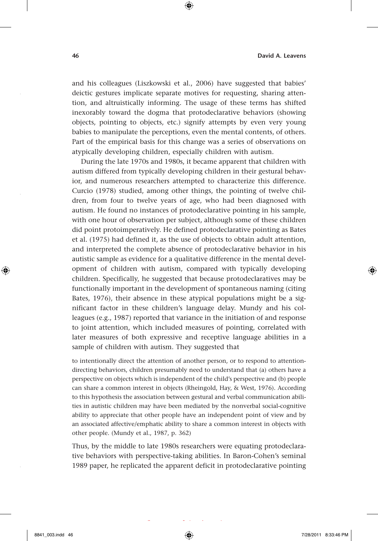## **46 David A. Leavens**

and his colleagues (Liszkowski et al., 2006) have suggested that babies' deictic gestures implicate separate motives for requesting, sharing attention, and altruistically informing. The usage of these terms has shifted inexorably toward the dogma that protodeclarative behaviors (showing objects, pointing to objects, etc.) signify attempts by even very young babies to manipulate the perceptions, even the mental contents, of others. Part of the empirical basis for this change was a series of observations on atypically developing children, especially children with autism.

⊕

During the late 1970s and 1980s, it became apparent that children with autism differed from typically developing children in their gestural behavior, and numerous researchers attempted to characterize this difference. Curcio (1978) studied, among other things, the pointing of twelve children, from four to twelve years of age, who had been diagnosed with autism. He found no instances of protodeclarative pointing in his sample, with one hour of observation per subject, although some of these children did point protoimperatively. He defined protodeclarative pointing as Bates et al. (1975) had defined it, as the use of objects to obtain adult attention, and interpreted the complete absence of protodeclarative behavior in his autistic sample as evidence for a qualitative difference in the mental development of children with autism, compared with typically developing children. Specifically, he suggested that because protodeclaratives may be functionally important in the development of spontaneous naming (citing Bates, 1976), their absence in these atypical populations might be a significant factor in these children's language delay. Mundy and his colleagues (e.g., 1987) reported that variance in the initiation of and response to joint attention, which included measures of pointing, correlated with later measures of both expressive and receptive language abilities in a sample of children with autism. They suggested that

to intentionally direct the attention of another person, or to respond to attentiondirecting behaviors, children presumably need to understand that (a) others have a perspective on objects which is independent of the child's perspective and (b) people can share a common interest in objects (Rheingold, Hay, & West, 1976). According to this hypothesis the association between gestural and verbal communication abilities in autistic children may have been mediated by the nonverbal social-cognitive ability to appreciate that other people have an independent point of view and by an associated affective/emphatic ability to share a common interest in objects with other people. (Mundy et al., 1987, p. 362)

Thus, by the middle to late 1980s researchers were equating protodeclarative behaviors with perspective-taking abilities. In Baron-Cohen's seminal 1989 paper, he replicated the apparent deficit in protodeclarative pointing

Seemann—Joint Attention

⊕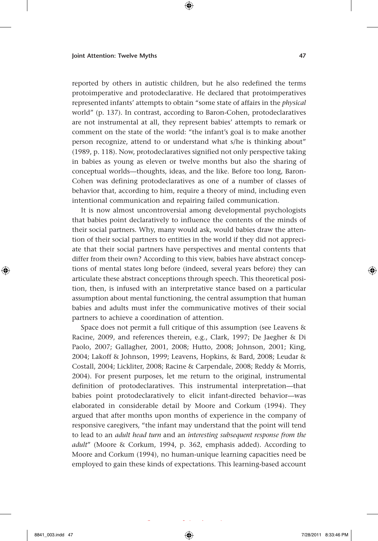reported by others in autistic children, but he also redefined the terms protoimperative and protodeclarative. He declared that protoimperatives represented infants' attempts to obtain "some state of affairs in the *physical* world" (p. 137). In contrast, according to Baron-Cohen, protodeclaratives are not instrumental at all, they represent babies' attempts to remark or comment on the state of the world: "the infant's goal is to make another person recognize, attend to or understand what s/he is thinking about" (1989, p. 118). Now, protodeclaratives signified not only perspective taking in babies as young as eleven or twelve months but also the sharing of conceptual worlds—thoughts, ideas, and the like. Before too long, Baron-Cohen was defining protodeclaratives as one of a number of classes of behavior that, according to him, require a theory of mind, including even intentional communication and repairing failed communication.

⊕

It is now almost uncontroversial among developmental psychologists that babies point declaratively to influence the contents of the minds of their social partners. Why, many would ask, would babies draw the attention of their social partners to entities in the world if they did not appreciate that their social partners have perspectives and mental contents that differ from their own? According to this view, babies have abstract conceptions of mental states long before (indeed, several years before) they can articulate these abstract conceptions through speech. This theoretical position, then, is infused with an interpretative stance based on a particular assumption about mental functioning, the central assumption that human babies and adults must infer the communicative motives of their social partners to achieve a coordination of attention.

Space does not permit a full critique of this assumption (see Leavens & Racine, 2009, and references therein, e.g., Clark, 1997; De Jaegher & Di Paolo, 2007; Gallagher, 2001, 2008; Hutto, 2008; Johnson, 2001; King, 2004; Lakoff & Johnson, 1999; Leavens, Hopkins, & Bard, 2008; Leudar & Costall, 2004; Lickliter, 2008; Racine & Carpendale, 2008; Reddy & Morris, 2004). For present purposes, let me return to the original, instrumental definition of protodeclaratives. This instrumental interpretation—that babies point protodeclaratively to elicit infant-directed behavior—was elaborated in considerable detail by Moore and Corkum (1994). They argued that after months upon months of experience in the company of responsive caregivers, "the infant may understand that the point will tend to lead to an *adult head turn* and an *interesting subsequent response from the adult*" (Moore & Corkum, 1994, p. 362, emphasis added). According to Moore and Corkum (1994), no human-unique learning capacities need be employed to gain these kinds of expectations. This learning-based account

Seemann—Joint Attention

↔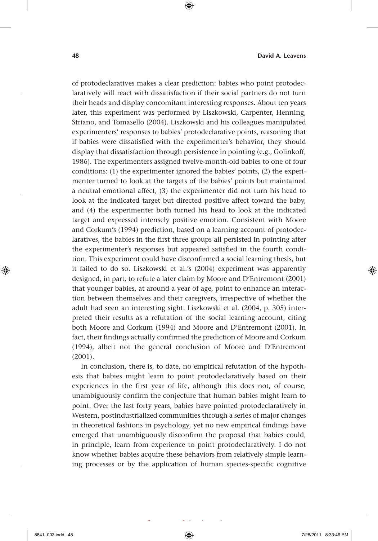of protodeclaratives makes a clear prediction: babies who point protodeclaratively will react with dissatisfaction if their social partners do not turn their heads and display concomitant interesting responses. About ten years later, this experiment was performed by Liszkowski, Carpenter, Henning, Striano, and Tomasello (2004). Liszkowski and his colleagues manipulated experimenters' responses to babies' protodeclarative points, reasoning that if babies were dissatisfied with the experimenter's behavior, they should display that dissatisfaction through persistence in pointing (e.g., Golinkoff, 1986). The experimenters assigned twelve-month-old babies to one of four conditions: (1) the experimenter ignored the babies' points, (2) the experimenter turned to look at the targets of the babies' points but maintained a neutral emotional affect, (3) the experimenter did not turn his head to look at the indicated target but directed positive affect toward the baby, and (4) the experimenter both turned his head to look at the indicated target and expressed intensely positive emotion. Consistent with Moore and Corkum's (1994) prediction, based on a learning account of protodeclaratives, the babies in the first three groups all persisted in pointing after the experimenter's responses but appeared satisfied in the fourth condition. This experiment could have disconfirmed a social learning thesis, but it failed to do so. Liszkowski et al.'s (2004) experiment was apparently designed, in part, to refute a later claim by Moore and D'Entremont (2001) that younger babies, at around a year of age, point to enhance an interaction between themselves and their caregivers, irrespective of whether the adult had seen an interesting sight. Liszkowski et al. (2004, p. 305) interpreted their results as a refutation of the social learning account, citing both Moore and Corkum (1994) and Moore and D'Entremont (2001). In fact, their findings actually confirmed the prediction of Moore and Corkum (1994), albeit not the general conclusion of Moore and D'Entremont (2001).

⊕

In conclusion, there is, to date, no empirical refutation of the hypothesis that babies might learn to point protodeclaratively based on their experiences in the first year of life, although this does not, of course, unambiguously confirm the conjecture that human babies might learn to point. Over the last forty years, babies have pointed protodeclaratively in Western, postindustrialized communities through a series of major changes in theoretical fashions in psychology, yet no new empirical findings have emerged that unambiguously disconfirm the proposal that babies could, in principle, learn from experience to point protodeclaratively. I do not know whether babies acquire these behaviors from relatively simple learning processes or by the application of human species-specific cognitive

Seemann—Joint Attention

↔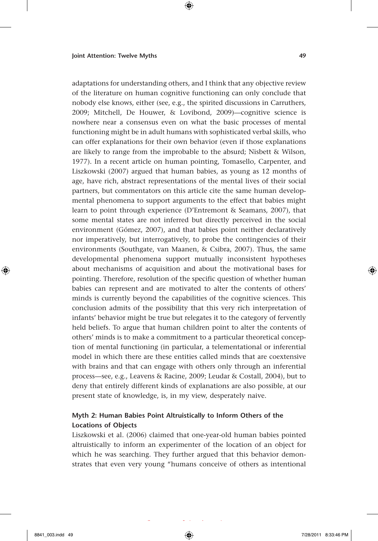adaptations for understanding others, and I think that any objective review of the literature on human cognitive functioning can only conclude that nobody else knows, either (see, e.g., the spirited discussions in Carruthers, 2009; Mitchell, De Houwer, & Lovibond, 2009)—cognitive science is nowhere near a consensus even on what the basic processes of mental functioning might be in adult humans with sophisticated verbal skills, who can offer explanations for their own behavior (even if those explanations are likely to range from the improbable to the absurd; Nisbett & Wilson, 1977). In a recent article on human pointing, Tomasello, Carpenter, and Liszkowski (2007) argued that human babies, as young as 12 months of age, have rich, abstract representations of the mental lives of their social partners, but commentators on this article cite the same human developmental phenomena to support arguments to the effect that babies might learn to point through experience (D'Entremont & Seamans, 2007), that some mental states are not inferred but directly perceived in the social environment (Gómez, 2007), and that babies point neither declaratively nor imperatively, but interrogatively, to probe the contingencies of their environments (Southgate, van Maanen, & Csibra, 2007). Thus, the same developmental phenomena support mutually inconsistent hypotheses about mechanisms of acquisition and about the motivational bases for pointing. Therefore, resolution of the specific question of whether human babies can represent and are motivated to alter the contents of others' minds is currently beyond the capabilities of the cognitive sciences. This conclusion admits of the possibility that this very rich interpretation of infants' behavior might be true but relegates it to the category of fervently held beliefs. To argue that human children point to alter the contents of others' minds is to make a commitment to a particular theoretical conception of mental functioning (in particular, a telementational or inferential model in which there are these entities called minds that are coextensive with brains and that can engage with others only through an inferential process—see, e.g., Leavens & Racine, 2009; Leudar & Costall, 2004), but to deny that entirely different kinds of explanations are also possible, at our present state of knowledge, is, in my view, desperately naive.

⊕

# **Myth 2: Human Babies Point Altruistically to Inform Others of the Locations of Objects**

Liszkowski et al. (2006) claimed that one-year-old human babies pointed altruistically to inform an experimenter of the location of an object for which he was searching. They further argued that this behavior demonstrates that even very young "humans conceive of others as intentional

Seemann—Joint Attention

↔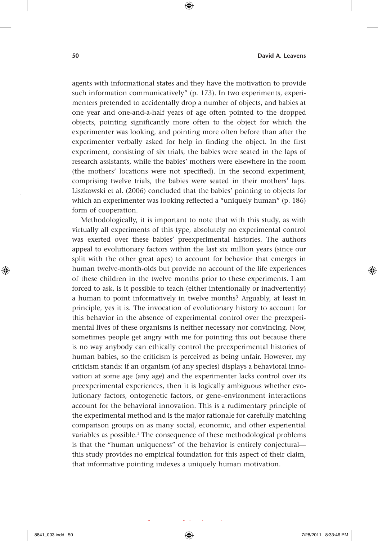agents with informational states and they have the motivation to provide such information communicatively" (p. 173). In two experiments, experimenters pretended to accidentally drop a number of objects, and babies at one year and one-and-a-half years of age often pointed to the dropped objects, pointing significantly more often to the object for which the experimenter was looking, and pointing more often before than after the experimenter verbally asked for help in finding the object. In the first experiment, consisting of six trials, the babies were seated in the laps of research assistants, while the babies' mothers were elsewhere in the room (the mothers' locations were not specified). In the second experiment, comprising twelve trials, the babies were seated in their mothers' laps. Liszkowski et al. (2006) concluded that the babies' pointing to objects for which an experimenter was looking reflected a "uniquely human" (p. 186) form of cooperation.

⊕

Methodologically, it is important to note that with this study, as with virtually all experiments of this type, absolutely no experimental control was exerted over these babies' preexperimental histories. The authors appeal to evolutionary factors within the last six million years (since our split with the other great apes) to account for behavior that emerges in human twelve-month-olds but provide no account of the life experiences of these children in the twelve months prior to these experiments. I am forced to ask, is it possible to teach (either intentionally or inadvertently) a human to point informatively in twelve months? Arguably, at least in principle, yes it is. The invocation of evolutionary history to account for this behavior in the absence of experimental control over the preexperimental lives of these organisms is neither necessary nor convincing. Now, sometimes people get angry with me for pointing this out because there is no way anybody can ethically control the preexperimental histories of human babies, so the criticism is perceived as being unfair. However, my criticism stands: if an organism (of any species) displays a behavioral innovation at some age (any age) and the experimenter lacks control over its preexperimental experiences, then it is logically ambiguous whether evolutionary factors, ontogenetic factors, or gene–environment interactions account for the behavioral innovation. This is a rudimentary principle of the experimental method and is the major rationale for carefully matching comparison groups on as many social, economic, and other experiential variables as possible.<sup>1</sup> The consequence of these methodological problems is that the "human uniqueness" of the behavior is entirely conjectural this study provides no empirical foundation for this aspect of their claim, that informative pointing indexes a uniquely human motivation.

Seemann—Joint Attention

↔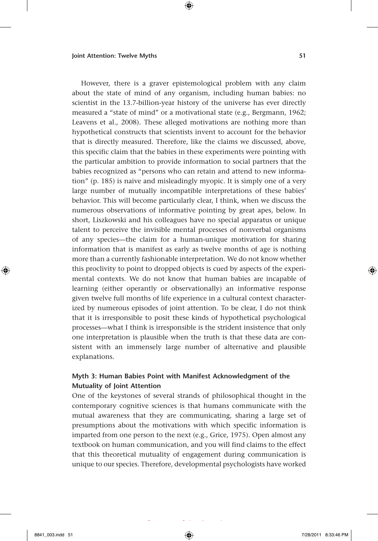However, there is a graver epistemological problem with any claim about the state of mind of any organism, including human babies: no scientist in the 13.7-billion-year history of the universe has ever directly measured a "state of mind" or a motivational state (e.g., Bergmann, 1962; Leavens et al., 2008). These alleged motivations are nothing more than hypothetical constructs that scientists invent to account for the behavior that is directly measured. Therefore, like the claims we discussed, above, this specific claim that the babies in these experiments were pointing with the particular ambition to provide information to social partners that the babies recognized as "persons who can retain and attend to new information" (p. 185) is naive and misleadingly myopic. It is simply one of a very large number of mutually incompatible interpretations of these babies' behavior. This will become particularly clear, I think, when we discuss the numerous observations of informative pointing by great apes, below. In short, Liszkowski and his colleagues have no special apparatus or unique talent to perceive the invisible mental processes of nonverbal organisms of any species—the claim for a human-unique motivation for sharing information that is manifest as early as twelve months of age is nothing more than a currently fashionable interpretation. We do not know whether this proclivity to point to dropped objects is cued by aspects of the experimental contexts. We do not know that human babies are incapable of learning (either operantly or observationally) an informative response given twelve full months of life experience in a cultural context characterized by numerous episodes of joint attention. To be clear, I do not think that it is irresponsible to posit these kinds of hypothetical psychological processes—what I think is irresponsible is the strident insistence that only one interpretation is plausible when the truth is that these data are consistent with an immensely large number of alternative and plausible explanations.

⊕

# **Myth 3: Human Babies Point with Manifest Acknowledgment of the Mutuality of Joint Attention**

One of the keystones of several strands of philosophical thought in the contemporary cognitive sciences is that humans communicate with the mutual awareness that they are communicating, sharing a large set of presumptions about the motivations with which specific information is imparted from one person to the next (e.g., Grice, 1975). Open almost any textbook on human communication, and you will find claims to the effect that this theoretical mutuality of engagement during communication is unique to our species. Therefore, developmental psychologists have worked

Seemann—Joint Attention

↔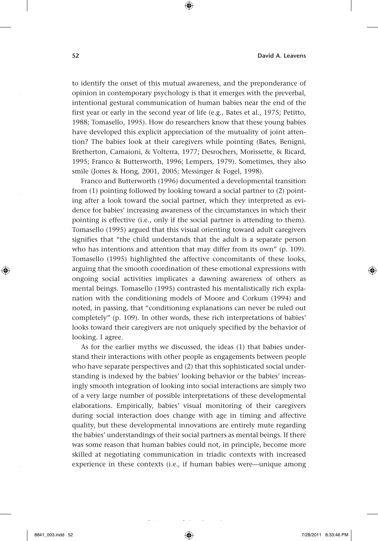to identify the onset of this mutual awareness, and the preponderance of opinion in contemporary psychology is that it emerges with the preverbal, intentional gestural communication of human babies near the end of the first year or early in the second year of life (e.g., Bates et al., 1975; Petitto, 1988; Tomasello, 1995). How do researchers know that these young babies have developed this explicit appreciation of the mutuality of joint attention? The babies look at their caregivers while pointing (Bates, Benigni, Bretherton, Camaioni, & Volterra, 1977; Desrochers, Morissette, & Ricard, 1995; Franco & Butterworth, 1996; Lempers, 1979). Sometimes, they also smile (Jones & Hong, 2001, 2005; Messinger & Fogel, 1998).

⊕

Franco and Butterworth (1996) documented a developmental transition from (1) pointing followed by looking toward a social partner to (2) pointing after a look toward the social partner, which they interpreted as evidence for babies' increasing awareness of the circumstances in which their pointing is effective (i.e., only if the social partner is attending to them). Tomasello (1995) argued that this visual orienting toward adult caregivers signifies that "the child understands that the adult is a separate person who has intentions and attention that may differ from its own" (p. 109). Tomasello (1995) highlighted the affective concomitants of these looks, arguing that the smooth coordination of these emotional expressions with ongoing social activities implicates a dawning awareness of others as mental beings. Tomasello (1995) contrasted his mentalistically rich explanation with the conditioning models of Moore and Corkum (1994) and noted, in passing, that "conditioning explanations can never be ruled out completely" (p. 109). In other words, these rich interpretations of babies' looks toward their caregivers are not uniquely specified by the behavior of looking. I agree.

As for the earlier myths we discussed, the ideas (1) that babies understand their interactions with other people as engagements between people who have separate perspectives and (2) that this sophisticated social understanding is indexed by the babies' looking behavior or the babies' increasingly smooth integration of looking into social interactions are simply two of a very large number of possible interpretations of these developmental elaborations. Empirically, babies' visual monitoring of their caregivers during social interaction does change with age in timing and affective quality, but these developmental innovations are entirely mute regarding the babies' understandings of their social partners as mental beings. If there was some reason that human babies could not, in principle, become more skilled at negotiating communication in triadic contexts with increased experience in these contexts (i.e., if human babies were—unique among

Seemann—Joint Attention

⊕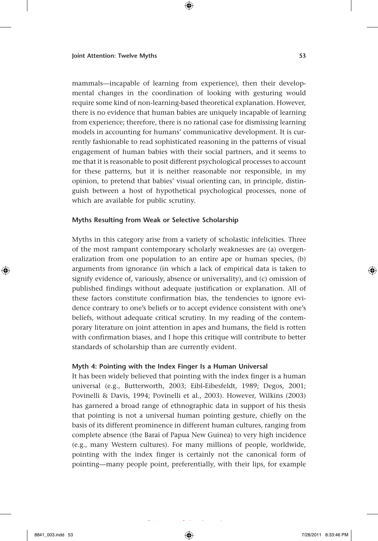mammals—incapable of learning from experience), then their developmental changes in the coordination of looking with gesturing would require some kind of non-learning-based theoretical explanation. However, there is no evidence that human babies are uniquely incapable of learning from experience; therefore, there is no rational case for dismissing learning models in accounting for humans' communicative development. It is currently fashionable to read sophisticated reasoning in the patterns of visual engagement of human babies with their social partners, and it seems to me that it is reasonable to posit different psychological processes to account for these patterns, but it is neither reasonable nor responsible, in my opinion, to pretend that babies' visual orienting can, in principle, distinguish between a host of hypothetical psychological processes, none of which are available for public scrutiny.

⊕

## **Myths Resulting from Weak or Selective Scholarship**

Myths in this category arise from a variety of scholastic infelicities. Three of the most rampant contemporary scholarly weaknesses are (a) overgeneralization from one population to an entire ape or human species, (b) arguments from ignorance (in which a lack of empirical data is taken to signify evidence of, variously, absence or universality), and (c) omission of published findings without adequate justification or explanation. All of these factors constitute confirmation bias, the tendencies to ignore evidence contrary to one's beliefs or to accept evidence consistent with one's beliefs, without adequate critical scrutiny. In my reading of the contemporary literature on joint attention in apes and humans, the field is rotten with confirmation biases, and I hope this critique will contribute to better standards of scholarship than are currently evident.

## **Myth 4: Pointing with the Index Finger Is a Human Universal**

It has been widely believed that pointing with the index finger is a human universal (e.g., Butterworth, 2003; Eibl-Eibesfeldt, 1989; Degos, 2001; Povinelli & Davis, 1994; Povinelli et al., 2003). However, Wilkins (2003) has garnered a broad range of ethnographic data in support of his thesis that pointing is not a universal human pointing gesture, chiefly on the basis of its different prominence in different human cultures, ranging from complete absence (the Barai of Papua New Guinea) to very high incidence (e.g., many Western cultures). For many millions of people, worldwide, pointing with the index finger is certainly not the canonical form of pointing—many people point, preferentially, with their lips, for example

Seemann—Joint Attention

↔

↔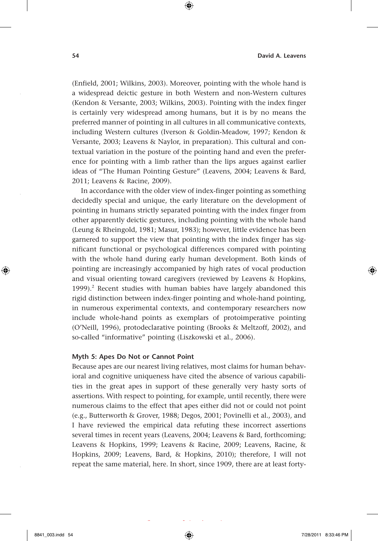(Enfield, 2001; Wilkins, 2003). Moreover, pointing with the whole hand is a widespread deictic gesture in both Western and non-Western cultures (Kendon & Versante, 2003; Wilkins, 2003). Pointing with the index finger is certainly very widespread among humans, but it is by no means the preferred manner of pointing in all cultures in all communicative contexts, including Western cultures (Iverson & Goldin-Meadow, 1997; Kendon & Versante, 2003; Leavens & Naylor, in preparation). This cultural and contextual variation in the posture of the pointing hand and even the preference for pointing with a limb rather than the lips argues against earlier ideas of "The Human Pointing Gesture" (Leavens, 2004; Leavens & Bard, 2011; Leavens & Racine, 2009).

⊕

In accordance with the older view of index-finger pointing as something decidedly special and unique, the early literature on the development of pointing in humans strictly separated pointing with the index finger from other apparently deictic gestures, including pointing with the whole hand (Leung & Rheingold, 1981; Masur, 1983); however, little evidence has been garnered to support the view that pointing with the index finger has significant functional or psychological differences compared with pointing with the whole hand during early human development. Both kinds of pointing are increasingly accompanied by high rates of vocal production and visual orienting toward caregivers (reviewed by Leavens & Hopkins, 1999).<sup>2</sup> Recent studies with human babies have largely abandoned this rigid distinction between index-finger pointing and whole-hand pointing, in numerous experimental contexts, and contemporary researchers now include whole-hand points as exemplars of protoimperative pointing (O'Neill, 1996), protodeclarative pointing (Brooks & Meltzoff, 2002), and so-called "informative" pointing (Liszkowski et al., 2006).

#### **Myth 5: Apes Do Not or Cannot Point**

Because apes are our nearest living relatives, most claims for human behavioral and cognitive uniqueness have cited the absence of various capabilities in the great apes in support of these generally very hasty sorts of assertions. With respect to pointing, for example, until recently, there were numerous claims to the effect that apes either did not or could not point (e.g., Butterworth & Grover, 1988; Degos, 2001; Povinelli et al., 2003), and I have reviewed the empirical data refuting these incorrect assertions several times in recent years (Leavens, 2004; Leavens & Bard, forthcoming; Leavens & Hopkins, 1999; Leavens & Racine, 2009; Leavens, Racine, & Hopkins, 2009; Leavens, Bard, & Hopkins, 2010); therefore, I will not repeat the same material, here. In short, since 1909, there are at least forty-

Seemann—Joint Attention

↔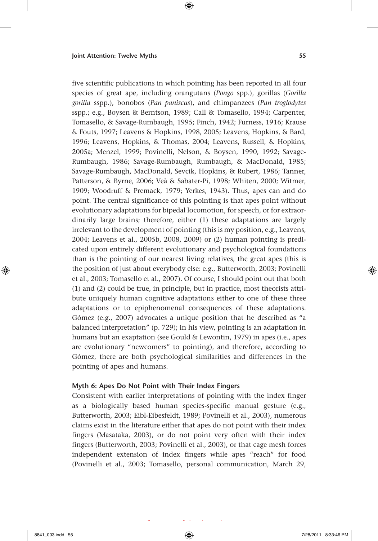five scientific publications in which pointing has been reported in all four species of great ape, including orangutans (*Pongo* spp.), gorillas (*Gorilla gorilla* sspp.), bonobos (*Pan paniscus*), and chimpanzees (*Pan troglodytes* sspp.; e.g., Boysen & Berntson, 1989; Call & Tomasello, 1994; Carpenter, Tomasello, & Savage-Rumbaugh, 1995; Finch, 1942; Furness, 1916; Krause & Fouts, 1997; Leavens & Hopkins, 1998, 2005; Leavens, Hopkins, & Bard, 1996; Leavens, Hopkins, & Thomas, 2004; Leavens, Russell, & Hopkins, 2005a; Menzel, 1999; Povinelli, Nelson, & Boysen, 1990, 1992; Savage-Rumbaugh, 1986; Savage-Rumbaugh, Rumbaugh, & MacDonald, 1985; Savage-Rumbaugh, MacDonald, Sevcik, Hopkins, & Rubert, 1986; Tanner, Patterson, & Byrne, 2006; Veà & Sabater-Pi, 1998; Whiten, 2000; Witmer, 1909; Woodruff & Premack, 1979; Yerkes, 1943). Thus, apes can and do point. The central significance of this pointing is that apes point without evolutionary adaptations for bipedal locomotion, for speech, or for extraordinarily large brains; therefore, either (1) these adaptations are largely irrelevant to the development of pointing (this is my position, e.g., Leavens, 2004; Leavens et al., 2005b, 2008, 2009) or (2) human pointing is predicated upon entirely different evolutionary and psychological foundations than is the pointing of our nearest living relatives, the great apes (this is the position of just about everybody else: e.g., Butterworth, 2003; Povinelli et al., 2003; Tomasello et al., 2007). Of course, I should point out that both (1) and (2) could be true, in principle, but in practice, most theorists attribute uniquely human cognitive adaptations either to one of these three adaptations or to epiphenomenal consequences of these adaptations. Gómez (e.g., 2007) advocates a unique position that he described as "a balanced interpretation" (p. 729); in his view, pointing is an adaptation in humans but an exaptation (see Gould & Lewontin, 1979) in apes (i.e., apes are evolutionary "newcomers" to pointing), and therefore, according to Gómez, there are both psychological similarities and differences in the pointing of apes and humans.

 $\textcircled{\scriptsize{+}}$ 

## **Myth 6: Apes Do Not Point with Their Index Fingers**

Consistent with earlier interpretations of pointing with the index finger as a biologically based human species-specific manual gesture (e.g., Butterworth, 2003; Eibl-Eibesfeldt, 1989; Povinelli et al., 2003), numerous claims exist in the literature either that apes do not point with their index fingers (Masataka, 2003), or do not point very often with their index fingers (Butterworth, 2003; Povinelli et al., 2003), or that cage mesh forces independent extension of index fingers while apes "reach" for food (Povinelli et al., 2003; Tomasello, personal communication, March 29,

Seemann—Joint Attention

⊕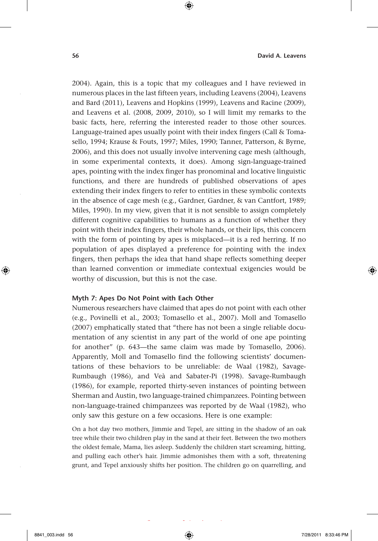2004). Again, this is a topic that my colleagues and I have reviewed in numerous places in the last fifteen years, including Leavens (2004), Leavens and Bard (2011), Leavens and Hopkins (1999), Leavens and Racine (2009), and Leavens et al. (2008, 2009, 2010), so I will limit my remarks to the basic facts, here, referring the interested reader to those other sources. Language-trained apes usually point with their index fingers (Call & Tomasello, 1994; Krause & Fouts, 1997; Miles, 1990; Tanner, Patterson, & Byrne, 2006), and this does not usually involve intervening cage mesh (although, in some experimental contexts, it does). Among sign-language-trained apes, pointing with the index finger has pronominal and locative linguistic functions, and there are hundreds of published observations of apes extending their index fingers to refer to entities in these symbolic contexts in the absence of cage mesh (e.g., Gardner, Gardner, & van Cantfort, 1989; Miles, 1990). In my view, given that it is not sensible to assign completely different cognitive capabilities to humans as a function of whether they point with their index fingers, their whole hands, or their lips, this concern with the form of pointing by apes is misplaced—it is a red herring. If no population of apes displayed a preference for pointing with the index fingers, then perhaps the idea that hand shape reflects something deeper than learned convention or immediate contextual exigencies would be worthy of discussion, but this is not the case.

⊕

## **Myth 7: Apes Do Not Point with Each Other**

Numerous researchers have claimed that apes do not point with each other (e.g., Povinelli et al., 2003; Tomasello et al., 2007). Moll and Tomasello (2007) emphatically stated that "there has not been a single reliable documentation of any scientist in any part of the world of one ape pointing for another" (p. 643—the same claim was made by Tomasello, 2006). Apparently, Moll and Tomasello find the following scientists' documentations of these behaviors to be unreliable: de Waal (1982), Savage-Rumbaugh (1986), and Veà and Sabater-Pi (1998). Savage-Rumbaugh (1986), for example, reported thirty-seven instances of pointing between Sherman and Austin, two language-trained chimpanzees. Pointing between non-language-trained chimpanzees was reported by de Waal (1982), who only saw this gesture on a few occasions. Here is one example:

On a hot day two mothers, Jimmie and Tepel, are sitting in the shadow of an oak tree while their two children play in the sand at their feet. Between the two mothers the oldest female, Mama, lies asleep. Suddenly the children start screaming, hitting, and pulling each other's hair. Jimmie admonishes them with a soft, threatening grunt, and Tepel anxiously shifts her position. The children go on quarrelling, and

Seemann—Joint Attention

⊕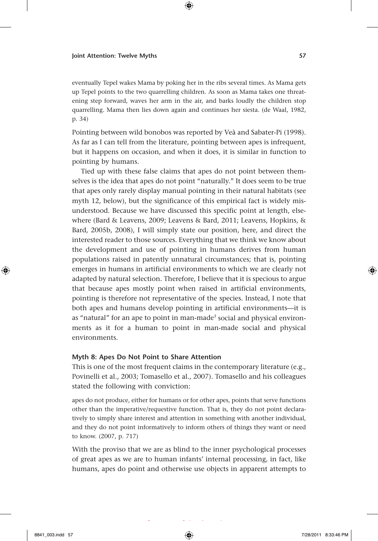eventually Tepel wakes Mama by poking her in the ribs several times. As Mama gets up Tepel points to the two quarrelling children. As soon as Mama takes one threatening step forward, waves her arm in the air, and barks loudly the children stop quarrelling. Mama then lies down again and continues her siesta. (de Waal, 1982, p. 34)

⊕

Pointing between wild bonobos was reported by Veà and Sabater-Pi (1998). As far as I can tell from the literature, pointing between apes is infrequent, but it happens on occasion, and when it does, it is similar in function to pointing by humans.

Tied up with these false claims that apes do not point between themselves is the idea that apes do not point "naturally." It does seem to be true that apes only rarely display manual pointing in their natural habitats (see myth 12, below), but the significance of this empirical fact is widely misunderstood. Because we have discussed this specific point at length, elsewhere (Bard & Leavens, 2009; Leavens & Bard, 2011; Leavens, Hopkins, & Bard, 2005b, 2008), I will simply state our position, here, and direct the interested reader to those sources. Everything that we think we know about the development and use of pointing in humans derives from human populations raised in patently unnatural circumstances; that is, pointing emerges in humans in artificial environments to which we are clearly not adapted by natural selection. Therefore, I believe that it is specious to argue that because apes mostly point when raised in artificial environments, pointing is therefore not representative of the species. Instead, I note that both apes and humans develop pointing in artificial environments—it is as "natural" for an ape to point in man-made<sup>3</sup> social and physical environments as it for a human to point in man-made social and physical environments.

## **Myth 8: Apes Do Not Point to Share Attention**

This is one of the most frequent claims in the contemporary literature (e.g., Povinelli et al., 2003; Tomasello et al., 2007). Tomasello and his colleagues stated the following with conviction:

apes do not produce, either for humans or for other apes, points that serve functions other than the imperative/requestive function. That is, they do not point declaratively to simply share interest and attention in something with another individual, and they do not point informatively to inform others of things they want or need to know. (2007, p. 717)

With the proviso that we are as blind to the inner psychological processes of great apes as we are to human infants' internal processing, in fact, like humans, apes do point and otherwise use objects in apparent attempts to

Seemann—Joint Attention

↔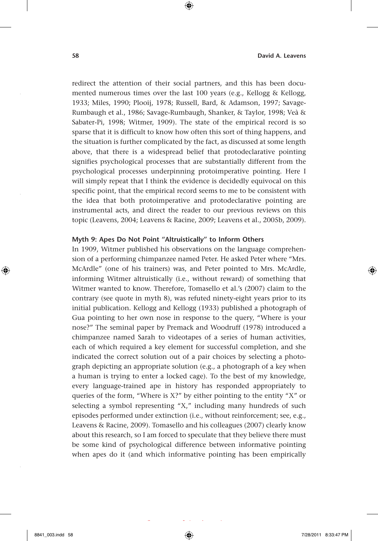redirect the attention of their social partners, and this has been documented numerous times over the last 100 years (e.g., Kellogg & Kellogg, 1933; Miles, 1990; Plooij, 1978; Russell, Bard, & Adamson, 1997; Savage-Rumbaugh et al., 1986; Savage-Rumbaugh, Shanker, & Taylor, 1998; Veà & Sabater-Pi, 1998; Witmer, 1909). The state of the empirical record is so sparse that it is difficult to know how often this sort of thing happens, and the situation is further complicated by the fact, as discussed at some length above, that there is a widespread belief that protodeclarative pointing signifies psychological processes that are substantially different from the psychological processes underpinning protoimperative pointing. Here I will simply repeat that I think the evidence is decidedly equivocal on this specific point, that the empirical record seems to me to be consistent with the idea that both protoimperative and protodeclarative pointing are instrumental acts, and direct the reader to our previous reviews on this topic (Leavens, 2004; Leavens & Racine, 2009; Leavens et al., 2005b, 2009).

 $\textcircled{\scriptsize{+}}$ 

#### **Myth 9: Apes Do Not Point "Altruistically" to Inform Others**

In 1909, Witmer published his observations on the language comprehension of a performing chimpanzee named Peter. He asked Peter where "Mrs. McArdle" (one of his trainers) was, and Peter pointed to Mrs. McArdle, informing Witmer altruistically (i.e., without reward) of something that Witmer wanted to know. Therefore, Tomasello et al.'s (2007) claim to the contrary (see quote in myth 8), was refuted ninety-eight years prior to its initial publication. Kellogg and Kellogg (1933) published a photograph of Gua pointing to her own nose in response to the query, "Where is your nose?" The seminal paper by Premack and Woodruff (1978) introduced a chimpanzee named Sarah to videotapes of a series of human activities, each of which required a key element for successful completion, and she indicated the correct solution out of a pair choices by selecting a photograph depicting an appropriate solution (e.g., a photograph of a key when a human is trying to enter a locked cage). To the best of my knowledge, every language-trained ape in history has responded appropriately to queries of the form, "Where is  $X$ ?" by either pointing to the entity " $X$ " or selecting a symbol representing "X," including many hundreds of such episodes performed under extinction (i.e., without reinforcement; see, e.g., Leavens & Racine, 2009). Tomasello and his colleagues (2007) clearly know about this research, so I am forced to speculate that they believe there must be some kind of psychological difference between informative pointing when apes do it (and which informative pointing has been empirically

Seemann—Joint Attention

↔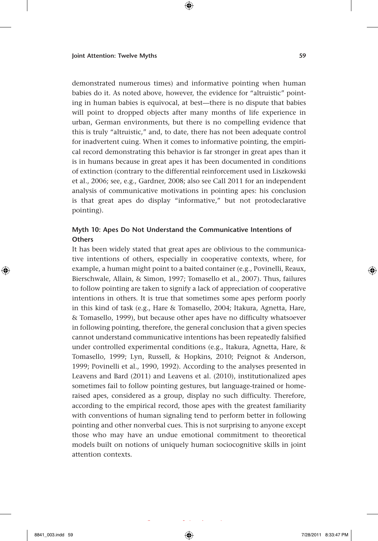demonstrated numerous times) and informative pointing when human babies do it. As noted above, however, the evidence for "altruistic" pointing in human babies is equivocal, at best—there is no dispute that babies will point to dropped objects after many months of life experience in urban, German environments, but there is no compelling evidence that this is truly "altruistic," and, to date, there has not been adequate control for inadvertent cuing. When it comes to informative pointing, the empirical record demonstrating this behavior is far stronger in great apes than it is in humans because in great apes it has been documented in conditions of extinction (contrary to the differential reinforcement used in Liszkowski et al., 2006; see, e.g., Gardner, 2008; also see Call 2011 for an independent analysis of communicative motivations in pointing apes: his conclusion is that great apes do display "informative," but not protodeclarative pointing).

⊕

# **Myth 10: Apes Do Not Understand the Communicative Intentions of Others**

It has been widely stated that great apes are oblivious to the communicative intentions of others, especially in cooperative contexts, where, for example, a human might point to a baited container (e.g., Povinelli, Reaux, Bierschwale, Allain, & Simon, 1997; Tomasello et al., 2007). Thus, failures to follow pointing are taken to signify a lack of appreciation of cooperative intentions in others. It is true that sometimes some apes perform poorly in this kind of task (e.g., Hare & Tomasello, 2004; Itakura, Agnetta, Hare, & Tomasello, 1999), but because other apes have no difficulty whatsoever in following pointing, therefore, the general conclusion that a given species cannot understand communicative intentions has been repeatedly falsified under controlled experimental conditions (e.g., Itakura, Agnetta, Hare, & Tomasello, 1999; Lyn, Russell, & Hopkins, 2010; Peignot & Anderson, 1999; Povinelli et al., 1990, 1992). According to the analyses presented in Leavens and Bard (2011) and Leavens et al. (2010), institutionalized apes sometimes fail to follow pointing gestures, but language-trained or homeraised apes, considered as a group, display no such difficulty. Therefore, according to the empirical record, those apes with the greatest familiarity with conventions of human signaling tend to perform better in following pointing and other nonverbal cues. This is not surprising to anyone except those who may have an undue emotional commitment to theoretical models built on notions of uniquely human sociocognitive skills in joint attention contexts.

Seemann—Joint Attention

↔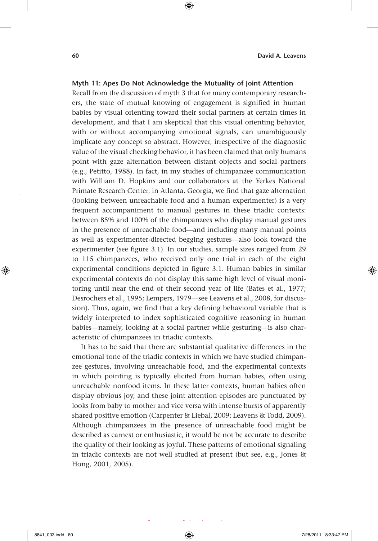## **Myth 11: Apes Do Not Acknowledge the Mutuality of Joint Attention**

⊕

Recall from the discussion of myth 3 that for many contemporary researchers, the state of mutual knowing of engagement is signified in human babies by visual orienting toward their social partners at certain times in development, and that I am skeptical that this visual orienting behavior, with or without accompanying emotional signals, can unambiguously implicate any concept so abstract. However, irrespective of the diagnostic value of the visual checking behavior, it has been claimed that only humans point with gaze alternation between distant objects and social partners (e.g., Petitto, 1988). In fact, in my studies of chimpanzee communication with William D. Hopkins and our collaborators at the Yerkes National Primate Research Center, in Atlanta, Georgia, we find that gaze alternation (looking between unreachable food and a human experimenter) is a very frequent accompaniment to manual gestures in these triadic contexts: between 85% and 100% of the chimpanzees who display manual gestures in the presence of unreachable food—and including many manual points as well as experimenter-directed begging gestures—also look toward the experimenter (see figure 3.1). In our studies, sample sizes ranged from 29 to 115 chimpanzees, who received only one trial in each of the eight experimental conditions depicted in figure 3.1. Human babies in similar experimental contexts do not display this same high level of visual monitoring until near the end of their second year of life (Bates et al., 1977; Desrochers et al., 1995; Lempers, 1979—see Leavens et al., 2008, for discussion). Thus, again, we find that a key defining behavioral variable that is widely interpreted to index sophisticated cognitive reasoning in human babies—namely, looking at a social partner while gesturing—is also characteristic of chimpanzees in triadic contexts.

It has to be said that there are substantial qualitative differences in the emotional tone of the triadic contexts in which we have studied chimpanzee gestures, involving unreachable food, and the experimental contexts in which pointing is typically elicited from human babies, often using unreachable nonfood items. In these latter contexts, human babies often display obvious joy, and these joint attention episodes are punctuated by looks from baby to mother and vice versa with intense bursts of apparently shared positive emotion (Carpenter & Liebal, 2009; Leavens & Todd, 2009). Although chimpanzees in the presence of unreachable food might be described as earnest or enthusiastic, it would be not be accurate to describe the quality of their looking as joyful. These patterns of emotional signaling in triadic contexts are not well studied at present (but see, e.g., Jones & Hong, 2001, 2005).

Seemann—Joint Attention

↔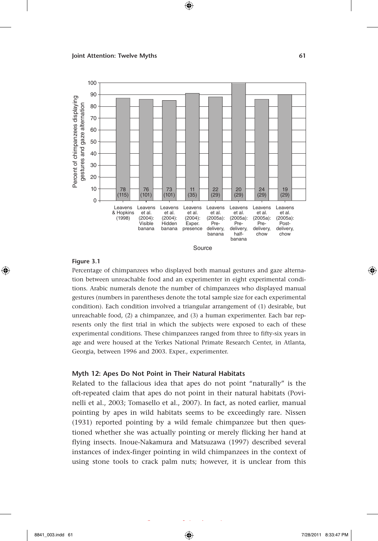

 $\textcircled{\scriptsize{+}}$ 

# **Figure 3.1**

⊕

Percentage of chimpanzees who displayed both manual gestures and gaze alternation between unreachable food and an experimenter in eight experimental conditions. Arabic numerals denote the number of chimpanzees who displayed manual gestures (numbers in parentheses denote the total sample size for each experimental condition). Each condition involved a triangular arrangement of (1) desirable, but unreachable food, (2) a chimpanzee, and (3) a human experimenter. Each bar represents only the first trial in which the subjects were exposed to each of these experimental conditions. These chimpanzees ranged from three to fifty-six years in age and were housed at the Yerkes National Primate Research Center, in Atlanta, Georgia, between 1996 and 2003. Exper., experimenter.

## **Myth 12: Apes Do Not Point in Their Natural Habitats**

Related to the fallacious idea that apes do not point "naturally" is the oft-repeated claim that apes do not point in their natural habitats (Povinelli et al., 2003; Tomasello et al., 2007). In fact, as noted earlier, manual pointing by apes in wild habitats seems to be exceedingly rare. Nissen (1931) reported pointing by a wild female chimpanzee but then questioned whether she was actually pointing or merely flicking her hand at flying insects. Inoue-Nakamura and Matsuzawa (1997) described several instances of index-finger pointing in wild chimpanzees in the context of using stone tools to crack palm nuts; however, it is unclear from this

Seemann—Joint Attention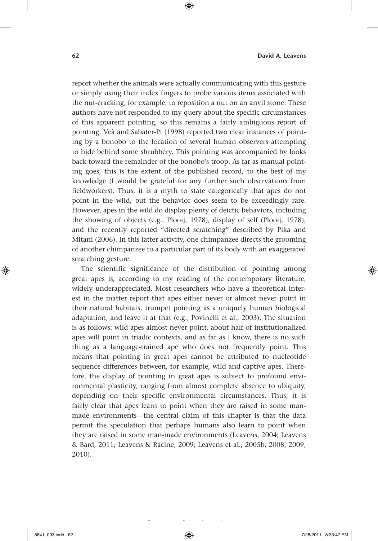report whether the animals were actually communicating with this gesture or simply using their index fingers to probe various items associated with the nut-cracking, for example, to reposition a nut on an anvil stone. These authors have not responded to my query about the specific circumstances of this apparent pointing, so this remains a fairly ambiguous report of pointing. Veà and Sabater-Pi (1998) reported two clear instances of pointing by a bonobo to the location of several human observers attempting to hide behind some shrubbery. This pointing was accompanied by looks back toward the remainder of the bonobo's troop. As far as manual pointing goes, this is the extent of the published record, to the best of my knowledge (I would be grateful for any further such observations from fieldworkers). Thus, it is a myth to state categorically that apes do not point in the wild, but the behavior does seem to be exceedingly rare. However, apes in the wild do display plenty of deictic behaviors, including the showing of objects (e.g., Plooij, 1978), display of self (Plooij, 1978), and the recently reported "directed scratching" described by Pika and Mitani (2006). In this latter activity, one chimpanzee directs the grooming of another chimpanzee to a particular part of its body with an exaggerated scratching gesture.

 $\textcircled{\scriptsize{+}}$ 

The scientific significance of the distribution of pointing among great apes is, according to my reading of the contemporary literature, widely underappreciated. Most researchers who have a theoretical interest in the matter report that apes either never or almost never point in their natural habitats, trumpet pointing as a uniquely human biological adaptation, and leave it at that (e.g., Povinelli et al., 2003). The situation is as follows: wild apes almost never point, about half of institutionalized apes will point in triadic contexts, and as far as I know, there is no such thing as a language-trained ape who does not frequently point. This means that pointing in great apes cannot be attributed to nucleotide sequence differences between, for example, wild and captive apes. Therefore, the display of pointing in great apes is subject to profound environmental plasticity, ranging from almost complete absence to ubiquity, depending on their specific environmental circumstances. Thus, it is fairly clear that apes learn to point when they are raised in some manmade environments—the central claim of this chapter is that the data permit the speculation that perhaps humans also learn to point when they are raised in some man-made environments (Leavens, 2004; Leavens & Bard, 2011; Leavens & Racine, 2009; Leavens et al., 2005b, 2008, 2009, 2010).

Seemann—Joint Attention

↔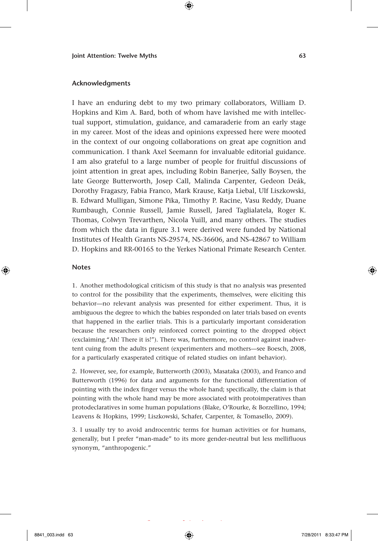## **Acknowledgments**

I have an enduring debt to my two primary collaborators, William D. Hopkins and Kim A. Bard, both of whom have lavished me with intellectual support, stimulation, guidance, and camaraderie from an early stage in my career. Most of the ideas and opinions expressed here were mooted in the context of our ongoing collaborations on great ape cognition and communication. I thank Axel Seemann for invaluable editorial guidance. I am also grateful to a large number of people for fruitful discussions of joint attention in great apes, including Robin Banerjee, Sally Boysen, the late George Butterworth, Josep Call, Malinda Carpenter, Gedeon Deák, Dorothy Fragaszy, Fabia Franco, Mark Krause, Katja Liebal, Ulf Liszkowski, B. Edward Mulligan, Simone Pika, Timothy P. Racine, Vasu Reddy, Duane Rumbaugh, Connie Russell, Jamie Russell, Jared Taglialatela, Roger K. Thomas, Colwyn Trevarthen, Nicola Yuill, and many others. The studies from which the data in figure 3.1 were derived were funded by National Institutes of Health Grants NS-29574, NS-36606, and NS-42867 to William D. Hopkins and RR-00165 to the Yerkes National Primate Research Center.

⊕

## **Notes**

↔

1. Another methodological criticism of this study is that no analysis was presented to control for the possibility that the experiments, themselves, were eliciting this behavior—no relevant analysis was presented for either experiment. Thus, it is ambiguous the degree to which the babies responded on later trials based on events that happened in the earlier trials. This is a particularly important consideration because the researchers only reinforced correct pointing to the dropped object (exclaiming,"Ah! There it is!"). There was, furthermore, no control against inadvertent cuing from the adults present (experimenters and mothers—see Boesch, 2008, for a particularly exasperated critique of related studies on infant behavior).

2. However, see, for example, Butterworth (2003), Masataka (2003), and Franco and Butterworth (1996) for data and arguments for the functional differentiation of pointing with the index finger versus the whole hand; specifically, the claim is that pointing with the whole hand may be more associated with protoimperatives than protodeclaratives in some human populations (Blake, O'Rourke, & Borzellino, 1994; Leavens & Hopkins, 1999; Liszkowski, Schafer, Carpenter, & Tomasello, 2009).

3. I usually try to avoid androcentric terms for human activities or for humans, generally, but I prefer "man-made" to its more gender-neutral but less mellifluous synonym, "anthropogenic."

Seemann—Joint Attention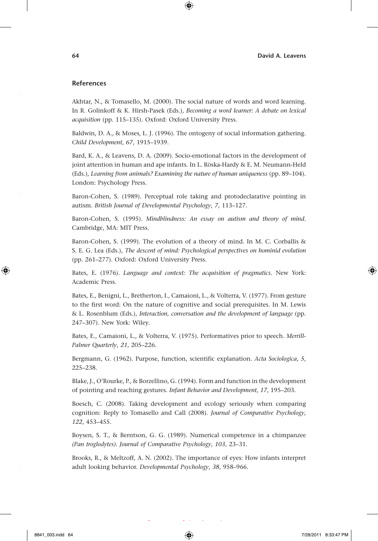## **References**

Akhtar, N., & Tomasello, M. (2000). The social nature of words and word learning. In R. Golinkoff & K. Hirsh-Pasek (Eds.), *Becoming a word learner: A debate on lexical acquisition* (pp. 115–135). Oxford: Oxford University Press.

⊕

Baldwin, D. A., & Moses, L. J. (1996). The ontogeny of social information gathering. *Child Development*, *67*, 1915–1939.

Bard, K. A., & Leavens, D. A. (2009). Socio-emotional factors in the development of joint attention in human and ape infants. In L. Röska-Hardy & E. M. Neumann-Held (Eds.), *Learning from animals? Examining the nature of human uniqueness* (pp. 89–104). London: Psychology Press.

Baron-Cohen, S. (1989). Perceptual role taking and protodeclarative pointing in autism. *British Journal of Developmental Psychology*, *7*, 113–127.

Baron-Cohen, S. (1995). *Mindblindness: An essay on autism and theory of mind*. Cambridge, MA: MIT Press.

Baron-Cohen, S. (1999). The evolution of a theory of mind. In M. C. Corballis & S. E. G. Lea (Eds.), *The descent of mind: Psychological perspectives on hominid evolution* (pp. 261–277). Oxford: Oxford University Press.

Bates, E. (1976). *Language and context: The acquisition of pragmatics*. New York: Academic Press.

Bates, E., Benigni, L., Bretherton, I., Camaioni, L., & Volterra, V. (1977). From gesture to the first word: On the nature of cognitive and social prerequisites. In M. Lewis & L. Rosenblum (Eds.), *Interaction, conversation and the development of language* (pp. 247–307). New York: Wiley.

Bates, E., Camaioni, L., & Volterra, V. (1975). Performatives prior to speech. *Merrill-Palmer Quarterly*, *21*, 205–226.

Bergmann, G. (1962). Purpose, function, scientific explanation. *Acta Sociologica*, *5*, 225–238.

Blake, J., O'Rourke, P., & Borzellino, G. (1994). Form and function in the development of pointing and reaching gestures. *Infant Behavior and Development*, *17*, 195–203.

Boesch, C. (2008). Taking development and ecology seriously when comparing cognition: Reply to Tomasello and Call (2008). *Journal of Comparative Psychology*, *122*, 453–455.

Boysen, S. T., & Berntson, G. G. (1989). Numerical competence in a chimpanzee *(Pan troglodytes). Journal of Comparative Psychology*, *103*, 23–31.

Brooks, R., & Meltzoff, A. N. (2002). The importance of eyes: How infants interpret adult looking behavior. *Developmental Psychology*, *38*, 958–966.

Seemann—Joint Attention

⊕

↔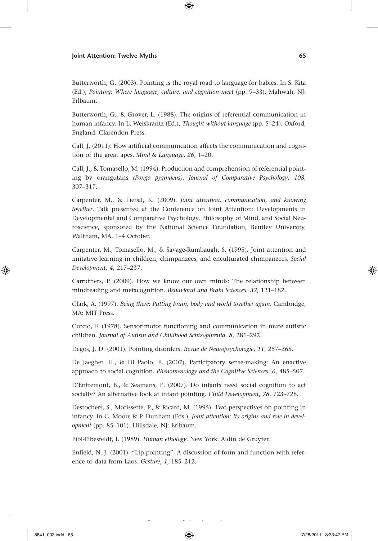Butterworth, G. (2003). Pointing is the royal road to language for babies. In S. Kita (Ed.), *Pointing: Where language, culture, and cognition meet* (pp. 9–33). Mahwah, NJ: Erlbaum.

⊕

Butterworth, G., & Grover, L. (1988). The origins of referential communication in human infancy. In L. Weiskrantz (Ed.), *Thought without language* (pp. 5–24). Oxford, England: Clarendon Press.

Call, J. (2011). How artificial communication affects the communication and cognition of the great apes. *Mind & Language*, *26*, 1–20.

Call, J., & Tomasello, M. (1994). Production and comprehension of referential pointing by orangutans *(Pongo pygmaeus). Journal of Comparative Psychology*, *108*, 307–317.

Carpenter, M., & Liebal, K. (2009). *Joint attention, communication, and knowing together*. Talk presented at the Conference on Joint Attention: Developments in Developmental and Comparative Psychology, Philosophy of Mind, and Social Neuroscience, sponsored by the National Science Foundation, Bentley University, Waltham, MA, 1–4 October.

Carpenter, M., Tomasello, M., & Savage-Rumbaugh, S. (1995). Joint attention and imitative learning in children, chimpanzees, and enculturated chimpanzees. *Social Development*, *4*, 217–237.

Carruthers, P. (2009). How we know our own minds: The relationship between mindreading and metacognition. *Behavioral and Brain Sciences*, *32*, 121–182.

Clark, A. (1997). *Being there: Putting brain, body and world together again*. Cambridge, MA: MIT Press.

Curcio, F. (1978). Sensorimotor functioning and communication in mute autistic children. *Journal of Autism and Childhood Schizophrenia*, *8*, 281–292.

Degos, J. D. (2001). Pointing disorders. *Revue de Neuropsychologie*, *11*, 257–265.

De Jaegher, H., & Di Paolo, E. (2007). Participatory sense-making: An enactive approach to social cognition. *Phenomenology and the Cognitive Sciences*, *6*, 485–507.

D'Entremont, B., & Seamans, E. (2007). Do infants need social cognition to act socially? An alternative look at infant pointing. *Child Development*, *78*, 723–728.

Desrochers, S., Morissette, P., & Ricard, M. (1995). Two perspectives on pointing in infancy. In C. Moore & P. Dunham (Eds.), *Joint attention: Its origins and role in development* (pp. 85–101). Hillsdale, NJ: Erlbaum.

Eibl-Eibesfeldt, I. (1989). *Human ethology*. New York: Aldin de Gruyter.

Enfield, N. J. (2001). "Lip-pointing": A discussion of form and function with reference to data from Laos. *Gesture*, *1*, 185–212.

⊕

↔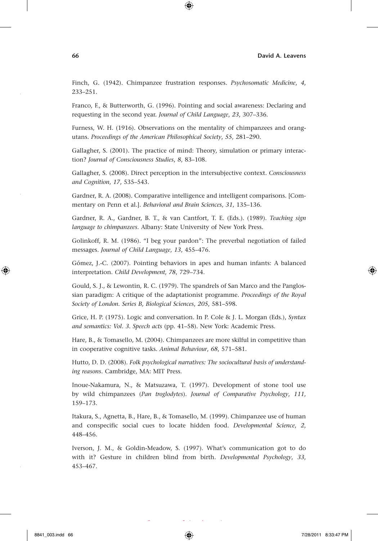## **66 David A. Leavens**

Finch, G. (1942). Chimpanzee frustration responses. *Psychosomatic Medicine*, *4*, 233–251.

⊕

Franco, F., & Butterworth, G. (1996). Pointing and social awareness: Declaring and requesting in the second year. *Journal of Child Language*, *23*, 307–336.

Furness, W. H. (1916). Observations on the mentality of chimpanzees and orangutans. *Proceedings of the American Philosophical Society*, *55*, 281–290.

Gallagher, S. (2001). The practice of mind: Theory, simulation or primary interaction? *Journal of Consciousness Studies*, *8*, 83–108.

Gallagher, S. (2008). Direct perception in the intersubjective context. *Consciousness and Cognition*, *17*, 535–543.

Gardner, R. A. (2008). Comparative intelligence and intelligent comparisons. [Commentary on Penn et al.]. *Behavioral and Brain Sciences*, *31*, 135–136.

Gardner, R. A., Gardner, B. T., & van Cantfort, T. E. (Eds.). (1989). *Teaching sign language to chimpanzees*. Albany: State University of New York Press.

Golinkoff, R. M. (1986). "I beg your pardon": The preverbal negotiation of failed messages. *Journal of Child Language*, *13*, 455–476.

Gómez, J.-C. (2007). Pointing behaviors in apes and human infants: A balanced interpretation. *Child Development*, *78*, 729–734.

Gould, S. J., & Lewontin, R. C. (1979). The spandrels of San Marco and the Panglossian paradigm: A critique of the adaptationist programme. *Proceedings of the Royal Society of London. Series B, Biological Sciences*, *205*, 581–598.

Grice, H. P. (1975). Logic and conversation. In P. Cole & J. L. Morgan (Eds.), *Syntax and semantics: Vol. 3. Speech acts* (pp. 41–58). New York: Academic Press.

Hare, B., & Tomasello, M. (2004). Chimpanzees are more skilful in competitive than in cooperative cognitive tasks. *Animal Behaviour*, *68*, 571–581.

Hutto, D. D. (2008). *Folk psychological narratives: The sociocultural basis of understanding reasons*. Cambridge, MA: MIT Press.

Inoue-Nakamura, N., & Matsuzawa, T. (1997). Development of stone tool use by wild chimpanzees (*Pan troglodytes*). *Journal of Comparative Psychology*, *111*, 159–173.

Itakura, S., Agnetta, B., Hare, B., & Tomasello, M. (1999). Chimpanzee use of human and conspecific social cues to locate hidden food. *Developmental Science*, *2*, 448–456.

Iverson, J. M., & Goldin-Meadow, S. (1997). What's communication got to do with it? Gesture in children blind from birth. *Developmental Psychology*, *33*, 453–467.

⊕

↔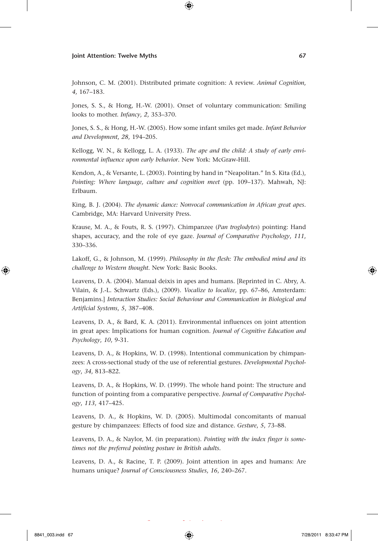Johnson, C. M. (2001). Distributed primate cognition: A review. *Animal Cognition*, *4*, 167–183.

⊕

Jones, S. S., & Hong, H.-W. (2001). Onset of voluntary communication: Smiling looks to mother. *Infancy*, *2*, 353–370.

Jones, S. S., & Hong, H.-W. (2005). How some infant smiles get made. *Infant Behavior and Development*, *28*, 194–205.

Kellogg, W. N., & Kellogg, L. A. (1933). *The ape and the child: A study of early environmental influence upon early behavior*. New York: McGraw-Hill.

Kendon, A., & Versante, L. (2003). Pointing by hand in "Neapolitan." In S. Kita (Ed.), *Pointing: Where language, culture and cognition meet* (pp. 109–137). Mahwah, NJ: Erlbaum.

King, B. J. (2004). *The dynamic dance: Nonvocal communication in African great apes*. Cambridge, MA: Harvard University Press.

Krause, M. A., & Fouts, R. S. (1997). Chimpanzee (*Pan troglodytes*) pointing: Hand shapes, accuracy, and the role of eye gaze. *Journal of Comparative Psychology*, *111*, 330–336.

Lakoff, G., & Johnson, M. (1999). *Philosophy in the flesh: The embodied mind and its challenge to Western thought*. New York: Basic Books.

Leavens, D. A. (2004). Manual deixis in apes and humans. [Reprinted in C. Abry, A. Vilain, & J.-L. Schwartz (Eds.), (2009). *Vocalize to localize*, pp. 67–86, Amsterdam: Benjamins.] *Interaction Studies: Social Behaviour and Communication in Biological and Artificial Systems*, *5*, 387–408.

Leavens, D. A., & Bard, K. A. (2011). Environmental influences on joint attention in great apes: Implications for human cognition. *Journal of Cognitive Education and Psychology*, *10*, 9-31.

Leavens, D. A., & Hopkins, W. D. (1998). Intentional communication by chimpanzees: A cross-sectional study of the use of referential gestures. *Developmental Psychology*, *34*, 813–822.

Leavens, D. A., & Hopkins, W. D. (1999). The whole hand point: The structure and function of pointing from a comparative perspective. *Journal of Comparative Psychology*, *113*, 417–425.

Leavens, D. A., & Hopkins, W. D. (2005). Multimodal concomitants of manual gesture by chimpanzees: Effects of food size and distance. *Gesture*, *5*, 73–88.

Leavens, D. A., & Naylor, M. (in preparation). *Pointing with the index finger is sometimes not the preferred pointing posture in British adults.*

Leavens, D. A., & Racine, T. P. (2009). Joint attention in apes and humans: Are humans unique? *Journal of Consciousness Studies*, *16*, 240–267.

⊕

↔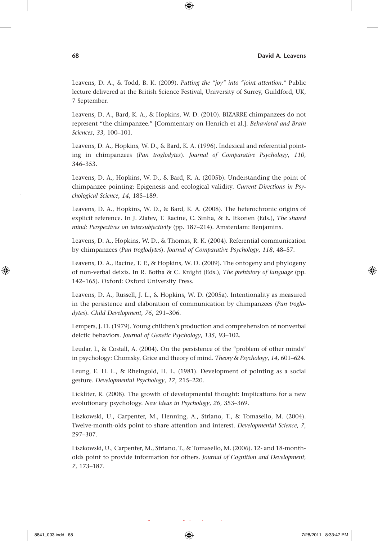## **68 David A. Leavens**

Leavens, D. A., & Todd, B. K. (2009). *Putting the "joy" into "joint attention."* Public lecture delivered at the British Science Festival, University of Surrey, Guildford, UK, 7 September.

⊕

Leavens, D. A., Bard, K. A., & Hopkins, W. D. (2010). BIZARRE chimpanzees do not represent "the chimpanzee." [Commentary on Henrich et al.]. *Behavioral and Brain Sciences*, *33*, 100–101.

Leavens, D. A., Hopkins, W. D., & Bard, K. A. (1996). Indexical and referential pointing in chimpanzees (*Pan troglodytes*). *Journal of Comparative Psychology*, *110*, 346–353.

Leavens, D. A., Hopkins, W. D., & Bard, K. A. (2005b). Understanding the point of chimpanzee pointing: Epigenesis and ecological validity. *Current Directions in Psychological Science*, *14*, 185–189.

Leavens, D. A., Hopkins, W. D., & Bard, K. A. (2008). The heterochronic origins of explicit reference. In J. Zlatev, T. Racine, C. Sinha, & E. Itkonen (Eds.), *The shared mind: Perspectives on intersubjectivity* (pp. 187–214). Amsterdam: Benjamins.

Leavens, D. A., Hopkins, W. D., & Thomas, R. K. (2004). Referential communication by chimpanzees (*Pan troglodytes*). *Journal of Comparative Psychology*, *118*, 48–57.

Leavens, D. A., Racine, T. P., & Hopkins, W. D. (2009). The ontogeny and phylogeny of non-verbal deixis. In R. Botha & C. Knight (Eds.), *The prehistory of language* (pp. 142–165). Oxford: Oxford University Press.

Leavens, D. A., Russell, J. L., & Hopkins, W. D. (2005a). Intentionality as measured in the persistence and elaboration of communication by chimpanzees (*Pan troglodytes*). *Child Development*, *76*, 291–306.

Lempers, J. D. (1979). Young children's production and comprehension of nonverbal deictic behaviors. *Journal of Genetic Psychology*, *135*, 93–102.

Leudar, I., & Costall, A. (2004). On the persistence of the "problem of other minds" in psychology: Chomsky, Grice and theory of mind. *Theory & Psychology*, *14*, 601–624.

Leung, E. H. L., & Rheingold, H. L. (1981). Development of pointing as a social gesture. *Developmental Psychology*, *17*, 215–220.

Lickliter, R. (2008). The growth of developmental thought: Implications for a new evolutionary psychology. *New Ideas in Psychology*, *26*, 353–369.

Liszkowski, U., Carpenter, M., Henning, A., Striano, T., & Tomasello, M. (2004). Twelve-month-olds point to share attention and interest. *Developmental Science*, *7*, 297–307.

Liszkowski, U., Carpenter, M., Striano, T., & Tomasello, M. (2006). 12- and 18-montholds point to provide information for others. *Journal of Cognition and Development*, *7*, 173–187.

⊕

↔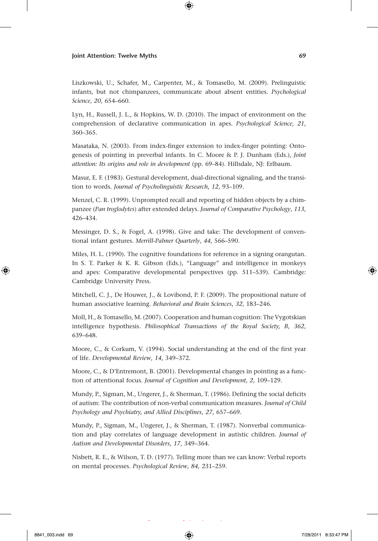Liszkowski, U., Schafer, M., Carpenter, M., & Tomasello, M. (2009). Prelinguistic infants, but not chimpanzees, communicate about absent entities. *Psychological Science*, *20*, 654–660.

⊕

Lyn, H., Russell, J. L., & Hopkins, W. D. (2010). The impact of environment on the comprehension of declarative communication in apes. *Psychological Science*, *21*, 360–365.

Masataka, N. (2003). From index-finger extension to index-finger pointing: Ontogenesis of pointing in preverbal infants. In C. Moore & P. J. Dunham (Eds.), *Joint attention: Its origins and role in development* (pp. 69–84). Hillsdale, NJ: Erlbaum.

Masur, E. F. (1983). Gestural development, dual-directional signaling, and the transition to words. *Journal of Psycholinguistic Research*, *12*, 93–109.

Menzel, C. R. (1999). Unprompted recall and reporting of hidden objects by a chimpanzee (*Pan troglodytes*) after extended delays. *Journal of Comparative Psychology*, *113*, 426–434.

Messinger, D. S., & Fogel, A. (1998). Give and take: The development of conventional infant gestures. *Merrill-Palmer Quarterly*, *44*, 566–590.

Miles, H. L. (1990). The cognitive foundations for reference in a signing orangutan. In S. T. Parker & K. R. Gibson (Eds.), "Language" and intelligence in monkeys and apes: Comparative developmental perspectives (pp*.* 511–539). Cambridge: Cambridge University Press.

Mitchell, C. J., De Houwer, J., & Lovibond, P. F. (2009). The propositional nature of human associative learning. *Behavioral and Brain Sciences*, *32*, 183–246.

Moll, H., & Tomasello, M. (2007). Cooperation and human cognition: The Vygotskian intelligence hypothesis. *Philosophical Transactions of the Royal Society, B*, *362*, 639–648.

Moore, C., & Corkum, V. (1994). Social understanding at the end of the first year of life. *Developmental Review*, *14*, 349–372.

Moore, C., & D'Entremont, B. (2001). Developmental changes in pointing as a function of attentional focus. *Journal of Cognition and Development*, *2*, 109–129.

Mundy, P., Sigman, M., Ungerer, J., & Sherman, T. (1986). Defining the social deficits of autism: The contribution of non-verbal communication measures. *Journal of Child Psychology and Psychiatry, and Allied Disciplines*, *27*, 657–669.

Mundy, P., Sigman, M., Ungerer, J., & Sherman, T. (1987). Nonverbal communication and play correlates of language development in autistic children. *Journal of Autism and Developmental Disorders*, *17*, 349–364.

Nisbett, R. E., & Wilson, T. D. (1977). Telling more than we can know: Verbal reports on mental processes. *Psychological Review*, *84*, 231–259.

⊕

↔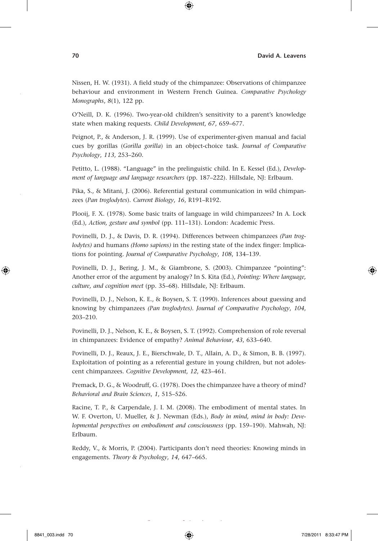## **70 David A. Leavens**

Nissen, H. W. (1931). A field study of the chimpanzee: Observations of chimpanzee behaviour and environment in Western French Guinea. *Comparative Psychology Monographs*, *8*(1), 122 pp.

⊕

O'Neill, D. K. (1996). Two-year-old children's sensitivity to a parent's knowledge state when making requests. *Child Development*, *67*, 659–677.

Peignot, P., & Anderson, J. R. (1999). Use of experimenter-given manual and facial cues by gorillas (*Gorilla gorilla*) in an object-choice task. *Journal of Comparative Psychology*, *113*, 253–260.

Petitto, L. (1988). "Language" in the prelinguistic child. In E. Kessel (Ed.), *Development of language and language researchers* (pp. 187–222). Hillsdale, NJ: Erlbaum.

Pika, S., & Mitani, J. (2006). Referential gestural communication in wild chimpanzees (*Pan troglodytes*). *Current Biology*, *16*, R191–R192.

Plooij, F. X. (1978). Some basic traits of language in wild chimpanzees? In A. Lock (Ed.), *Action, gesture and symbol* (pp. 111–131). London: Academic Press.

Povinelli, D. J., & Davis, D. R. (1994). Differences between chimpanzees *(Pan troglodytes)* and humans *(Homo sapiens)* in the resting state of the index finger: Implications for pointing. *Journal of Comparative Psychology*, *108*, 134–139.

Povinelli, D. J., Bering, J. M., & Giambrone, S. (2003). Chimpanzee "pointing": Another error of the argument by analogy? In S. Kita (Ed.), *Pointing: Where language, culture, and cognition meet* (pp. 35–68). Hillsdale, NJ: Erlbaum.

Povinelli, D. J., Nelson, K. E., & Boysen, S. T. (1990). Inferences about guessing and knowing by chimpanzees *(Pan troglodytes). Journal of Comparative Psychology*, *104*, 203–210.

Povinelli, D. J., Nelson, K. E., & Boysen, S. T. (1992). Comprehension of role reversal in chimpanzees: Evidence of empathy? *Animal Behaviour*, *43*, 633–640.

Povinelli, D. J., Reaux, J. E., Bierschwale, D. T., Allain, A. D., & Simon, B. B. (1997). Exploitation of pointing as a referential gesture in young children, but not adolescent chimpanzees. *Cognitive Development*, *12*, 423–461.

Premack, D. G., & Woodruff, G. (1978). Does the chimpanzee have a theory of mind? *Behavioral and Brain Sciences*, *1*, 515–526.

Racine, T. P., & Carpendale, J. I. M. (2008). The embodiment of mental states. In W. F. Overton, U. Mueller, & J. Newman (Eds.), *Body in mind, mind in body: Developmental perspectives on embodiment and consciousness* (pp. 159–190). Mahwah, NJ: Erlbaum.

Reddy, V., & Morris, P. (2004). Participants don't need theories: Knowing minds in engagements. *Theory & Psychology*, *14*, 647–665.

⊕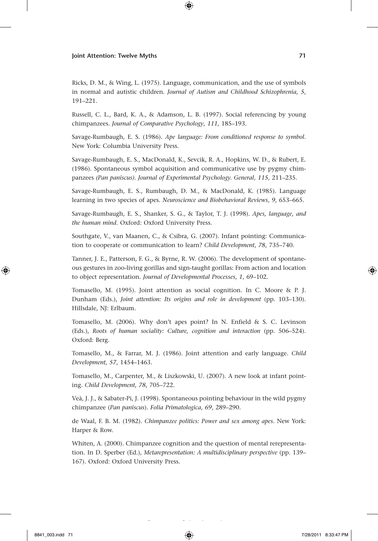Ricks, D. M., & Wing, L. (1975). Language, communication, and the use of symbols in normal and autistic children. *Journal of Autism and Childhood Schizophrenia*, *5*, 191–221.

⊕

Russell, C. L., Bard, K. A., & Adamson, L. B. (1997). Social referencing by young chimpanzees. *Journal of Comparative Psychology*, *111*, 185–193.

Savage-Rumbaugh, E. S. (1986). *Ape language: From conditioned response to symbol*. New York: Columbia University Press.

Savage-Rumbaugh, E. S., MacDonald, K., Sevcik, R. A., Hopkins, W. D., & Rubert, E. (1986). Spontaneous symbol acquisition and communicative use by pygmy chimpanzees *(Pan paniscus). Journal of Experimental Psychology. General*, *115*, 211–235.

Savage-Rumbaugh, E. S., Rumbaugh, D. M., & MacDonald, K. (1985). Language learning in two species of apes. *Neuroscience and Biobehavioral Reviews*, *9*, 653–665.

Savage-Rumbaugh, E. S., Shanker, S. G., & Taylor, T. J. (1998). *Apes, language, and the human mind*. Oxford: Oxford University Press.

Southgate, V., van Maanen, C., & Csibra, G. (2007). Infant pointing: Communication to cooperate or communication to learn? *Child Development*, *78*, 735–740.

Tanner, J. E., Patterson, F. G., & Byrne, R. W. (2006). The development of spontaneous gestures in zoo-living gorillas and sign-taught gorillas: From action and location to object representation. *Journal of Developmental Processes*, *1*, 69–102.

Tomasello, M. (1995). Joint attention as social cognition. In C. Moore & P. J. Dunham (Eds.), *Joint attention: Its origins and role in development* (pp. 103–130). Hillsdale, NJ: Erlbaum.

Tomasello, M. (2006). Why don't apes point? In N. Enfield & S. C. Levinson (Eds.), *Roots of human sociality: Culture, cognition and interaction* (pp. 506–524). Oxford: Berg.

Tomasello, M., & Farrar, M. J. (1986). Joint attention and early language. *Child Development*, *57*, 1454–1463.

Tomasello, M., Carpenter, M., & Liszkowski, U. (2007). A new look at infant pointing. *Child Development*, *78*, 705–722.

Veà, J. J., & Sabater-Pi, J. (1998). Spontaneous pointing behaviour in the wild pygmy chimpanzee (*Pan paniscus*). *Folia Primatologica*, *69*, 289–290.

de Waal, F. B. M. (1982). *Chimpanzee politics: Power and sex among apes*. New York: Harper & Row.

Whiten, A. (2000). Chimpanzee cognition and the question of mental rerepresentation. In D. Sperber (Ed.), *Metarepresentation: A multidisciplinary perspective* (pp. 139– 167). Oxford: Oxford University Press.

⊕

↔